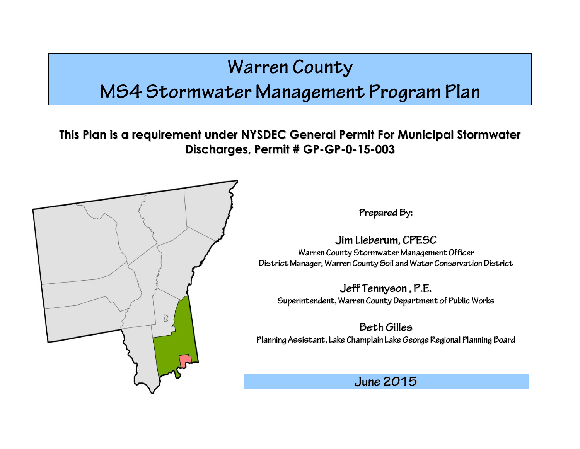# **Warren County**

## MS4 Stormwater Management Program Plan

**This Plan is a requirement under NYSDEC General Permit For Municipal Stormwater Discharges, Permit # GP-GP-0-15-003**



Prepared By:

Jim Lieberum, CPESC Warren County Stormwater Management Officer District Manager, Warren County Soil and Water Conservation District

Jeff Tennyson, P.E. Superintendent, Warren County Department of Public Works

**Beth Gilles** Planning Assistant, Lake Champlain Lake George Regional Planning Board

**June 2015**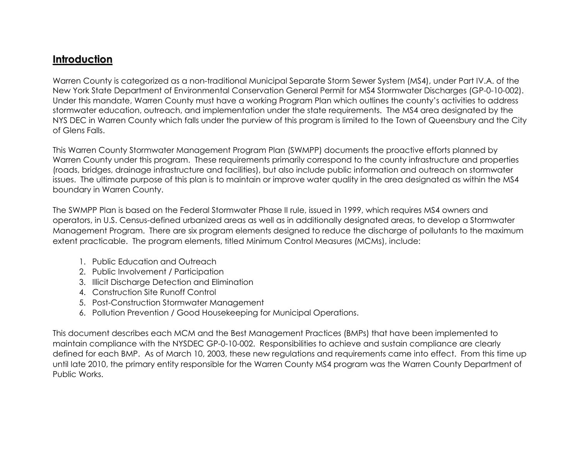#### **Introduction**

Warren County is categorized as a non-traditional Municipal Separate Storm Sewer System (MS4), under Part IV.A. of the New York State Department of Environmental Conservation General Permit for MS4 Stormwater Discharges (GP-0-10-002). Under this mandate, Warren County must have a working Program Plan which outlines the county's activities to address stormwater education, outreach, and implementation under the state requirements. The MS4 area designated by the NYS DEC in Warren County which falls under the purview of this program is limited to the Town of Queensbury and the City of Glens Falls.

This Warren County Stormwater Management Program Plan (SWMPP) documents the proactive efforts planned by Warren County under this program. These requirements primarily correspond to the county infrastructure and properties (roads, bridges, drainage infrastructure and facilities), but also include public information and outreach on stormwater issues. The ultimate purpose of this plan is to maintain or improve water quality in the area designated as within the MS4 boundary in Warren County.

The SWMPP Plan is based on the Federal Stormwater Phase II rule, issued in 1999, which requires MS4 owners and operators, in U.S. Census-defined urbanized areas as well as in additionally designated areas, to develop a Stormwater Management Program. There are six program elements designed to reduce the discharge of pollutants to the maximum extent practicable. The program elements, titled Minimum Control Measures (MCMs), include:

- 1. Public Education and Outreach
- 2. Public Involvement / Participation
- 3. Illicit Discharge Detection and Elimination
- 4. Construction Site Runoff Control
- 5. Post-Construction Stormwater Management
- 6. Pollution Prevention / Good Housekeeping for Municipal Operations.

This document describes each MCM and the Best Management Practices (BMPs) that have been implemented to maintain compliance with the NYSDEC GP-0-10-002. Responsibilities to achieve and sustain compliance are clearly defined for each BMP. As of March 10, 2003, these new regulations and requirements came into effect. From this time up until late 2010, the primary entity responsible for the Warren County MS4 program was the Warren County Department of Public Works.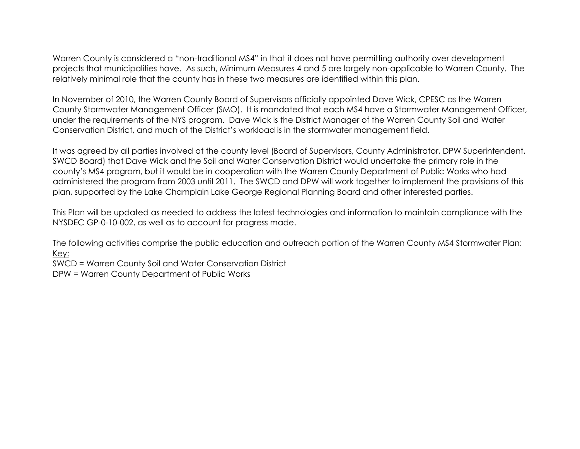Warren County is considered a "non-traditional MS4" in that it does not have permitting authority over development projects that municipalities have. As such, Minimum Measures 4 and 5 are largely non-applicable to Warren County. The relatively minimal role that the county has in these two measures are identified within this plan.

In November of 2010, the Warren County Board of Supervisors officially appointed Dave Wick, CPESC as the Warren County Stormwater Management Officer (SMO). It is mandated that each MS4 have a Stormwater Management Officer, under the requirements of the NYS program. Dave Wick is the District Manager of the Warren County Soil and Water Conservation District, and much of the District's workload is in the stormwater management field.

It was agreed by all parties involved at the county level (Board of Supervisors, County Administrator, DPW Superintendent, SWCD Board) that Dave Wick and the Soil and Water Conservation District would undertake the primary role in the county's MS4 program, but it would be in cooperation with the Warren County Department of Public Works who had administered the program from 2003 until 2011. The SWCD and DPW will work together to implement the provisions of this plan, supported by the Lake Champlain Lake George Regional Planning Board and other interested parties.

This Plan will be updated as needed to address the latest technologies and information to maintain compliance with the NYSDEC GP-0-10-002, as well as to account for progress made.

The following activities comprise the public education and outreach portion of the Warren County MS4 Stormwater Plan: Key:

SWCD = Warren County Soil and Water Conservation District

DPW = Warren County Department of Public Works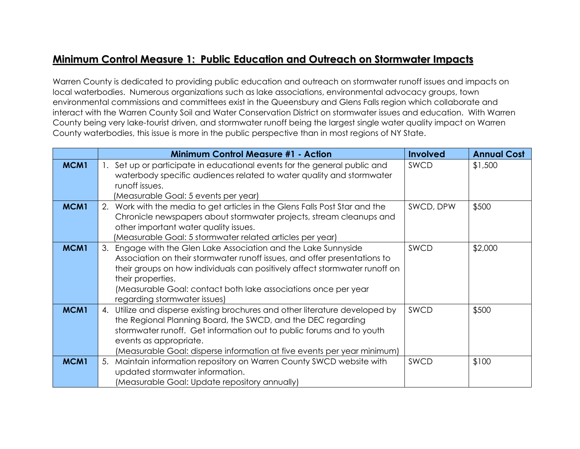### **Minimum Control Measure 1: Public Education and Outreach on Stormwater Impacts**

Warren County is dedicated to providing public education and outreach on stormwater runoff issues and impacts on local waterbodies. Numerous organizations such as lake associations, environmental advocacy groups, town environmental commissions and committees exist in the Queensbury and Glens Falls region which collaborate and interact with the Warren County Soil and Water Conservation District on stormwater issues and education. With Warren County being very lake-tourist driven, and stormwater runoff being the largest single water quality impact on Warren County waterbodies, this issue is more in the public perspective than in most regions of NY State.

|      | <b>Minimum Control Measure #1 - Action</b>                                                                                                                                                                                                                                                                                                           | <b>Involved</b> | <b>Annual Cost</b> |
|------|------------------------------------------------------------------------------------------------------------------------------------------------------------------------------------------------------------------------------------------------------------------------------------------------------------------------------------------------------|-----------------|--------------------|
| MCM1 | 1. Set up or participate in educational events for the general public and<br>waterbody specific audiences related to water quality and stormwater<br>runoff issues.<br>(Measurable Goal: 5 events per year)                                                                                                                                          | SWCD            | \$1,500            |
| MCM1 | 2. Work with the media to get articles in the Glens Falls Post Star and the<br>Chronicle newspapers about stormwater projects, stream cleanups and<br>other important water quality issues.<br>(Measurable Goal: 5 stormwater related articles per year)                                                                                             | SWCD, DPW       | \$500              |
| MCM1 | Engage with the Glen Lake Association and the Lake Sunnyside<br>3.<br>Association on their stormwater runoff issues, and offer presentations to<br>their groups on how individuals can positively affect stormwater runoff on<br>their properties.<br>(Measurable Goal: contact both lake associations once per year<br>regarding stormwater issues) | SWCD            | \$2,000            |
| MCM1 | Utilize and disperse existing brochures and other literature developed by<br>4.<br>the Regional Planning Board, the SWCD, and the DEC regarding<br>stormwater runoff. Get information out to public forums and to youth<br>events as appropriate.<br>(Measurable Goal: disperse information at five events per year minimum)                         | SWCD            | \$500              |
| MCM1 | Maintain information repository on Warren County SWCD website with<br>5.<br>updated stormwater information.<br>(Measurable Goal: Update repository annually)                                                                                                                                                                                         | SWCD            | \$100              |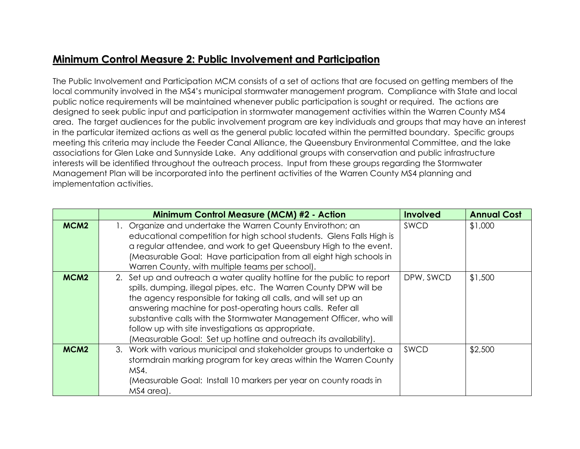### **Minimum Control Measure 2: Public Involvement and Participation**

The Public Involvement and Participation MCM consists of a set of actions that are focused on getting members of the local community involved in the MS4's municipal stormwater management program. Compliance with State and local public notice requirements will be maintained whenever public participation is sought or required. The actions are designed to seek public input and participation in stormwater management activities within the Warren County MS4 area. The target audiences for the public involvement program are key individuals and groups that may have an interest in the particular itemized actions as well as the general public located within the permitted boundary. Specific groups meeting this criteria may include the Feeder Canal Alliance, the Queensbury Environmental Committee, and the lake associations for Glen Lake and Sunnyside Lake. Any additional groups with conservation and public infrastructure interests will be identified throughout the outreach process. Input from these groups regarding the Stormwater Management Plan will be incorporated into the pertinent activities of the Warren County MS4 planning and implementation activities.

|                  | <b>Minimum Control Measure (MCM) #2 - Action</b>                                                                                                                                                                                                                                                                                                                                                                                                                                | <b>Involved</b> | <b>Annual Cost</b> |
|------------------|---------------------------------------------------------------------------------------------------------------------------------------------------------------------------------------------------------------------------------------------------------------------------------------------------------------------------------------------------------------------------------------------------------------------------------------------------------------------------------|-----------------|--------------------|
| MCM <sub>2</sub> | 1. Organize and undertake the Warren County Envirothon; an<br>educational competition for high school students. Glens Falls High is<br>a regular attendee, and work to get Queensbury High to the event.<br>(Measurable Goal: Have participation from all eight high schools in<br>Warren County, with multiple teams per school).                                                                                                                                              | <b>SWCD</b>     | \$1,000            |
| MCM <sub>2</sub> | 2. Set up and outreach a water quality hotline for the public to report<br>spills, dumping, illegal pipes, etc. The Warren County DPW will be<br>the agency responsible for taking all calls, and will set up an<br>answering machine for post-operating hours calls. Refer all<br>substantive calls with the Stormwater Management Officer, who will<br>follow up with site investigations as appropriate.<br>(Measurable Goal: Set up hotline and outreach its availability). | DPW, SWCD       | \$1,500            |
| MCM <sub>2</sub> | 3. Work with various municipal and stakeholder groups to undertake a<br>stormdrain marking program for key areas within the Warren County<br>MS4.<br>(Measurable Goal: Install 10 markers per year on county roads in<br>MS4 area).                                                                                                                                                                                                                                             | <b>SWCD</b>     | \$2,500            |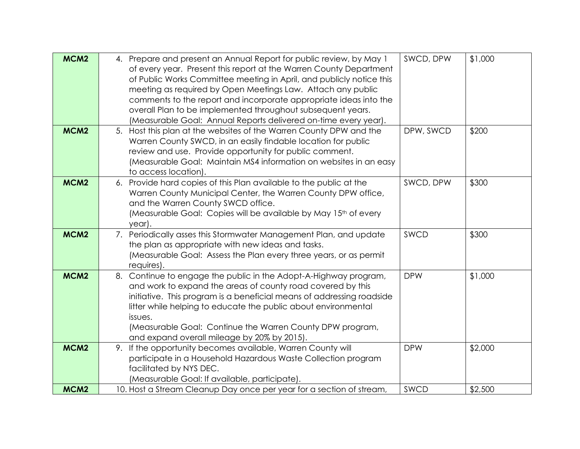| MCM <sub>2</sub> | 4. Prepare and present an Annual Report for public review, by May 1   | SWCD, DPW  | \$1,000 |
|------------------|-----------------------------------------------------------------------|------------|---------|
|                  | of every year. Present this report at the Warren County Department    |            |         |
|                  | of Public Works Committee meeting in April, and publicly notice this  |            |         |
|                  | meeting as required by Open Meetings Law. Attach any public           |            |         |
|                  | comments to the report and incorporate appropriate ideas into the     |            |         |
|                  | overall Plan to be implemented throughout subsequent years.           |            |         |
|                  | (Measurable Goal: Annual Reports delivered on-time every year).       |            |         |
| MCM <sub>2</sub> | 5. Host this plan at the websites of the Warren County DPW and the    | DPW, SWCD  | \$200   |
|                  | Warren County SWCD, in an easily findable location for public         |            |         |
|                  | review and use. Provide opportunity for public comment.               |            |         |
|                  | (Measurable Goal: Maintain MS4 information on websites in an easy     |            |         |
|                  | to access location).                                                  |            |         |
| MCM <sub>2</sub> | 6. Provide hard copies of this Plan available to the public at the    | SWCD, DPW  | \$300   |
|                  | Warren County Municipal Center, the Warren County DPW office,         |            |         |
|                  | and the Warren County SWCD office.                                    |            |         |
|                  | (Measurable Goal: Copies will be available by May 15th of every       |            |         |
|                  | year).                                                                |            |         |
| MCM <sub>2</sub> | 7. Periodically asses this Stormwater Management Plan, and update     | SWCD       | \$300   |
|                  | the plan as appropriate with new ideas and tasks.                     |            |         |
|                  | (Measurable Goal: Assess the Plan every three years, or as permit     |            |         |
|                  | requires).                                                            |            |         |
| MCM <sub>2</sub> | 8. Continue to engage the public in the Adopt-A-Highway program,      | <b>DPW</b> | \$1,000 |
|                  | and work to expand the areas of county road covered by this           |            |         |
|                  | initiative. This program is a beneficial means of addressing roadside |            |         |
|                  | litter while helping to educate the public about environmental        |            |         |
|                  | issues.                                                               |            |         |
|                  | (Measurable Goal: Continue the Warren County DPW program,             |            |         |
|                  | and expand overall mileage by 20% by 2015).                           |            |         |
| MCM <sub>2</sub> | 9. If the opportunity becomes available, Warren County will           | <b>DPW</b> | \$2,000 |
|                  | participate in a Household Hazardous Waste Collection program         |            |         |
|                  | facilitated by NYS DEC.                                               |            |         |
|                  | (Measurable Goal: If available, participate).                         |            |         |
| MCM <sub>2</sub> | 10. Host a Stream Cleanup Day once per year for a section of stream,  | SWCD       | \$2,500 |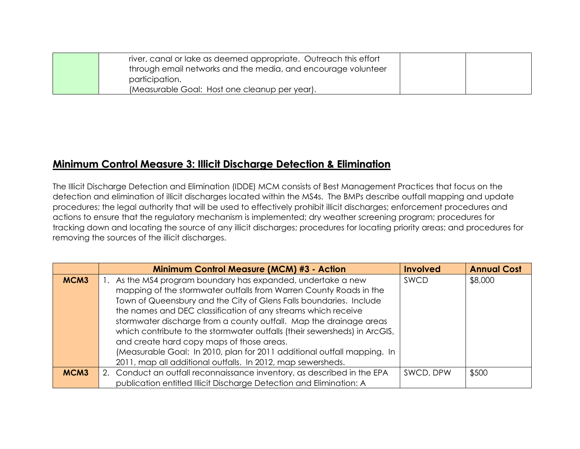| river, canal or lake as deemed appropriate. Outreach this effort |  |
|------------------------------------------------------------------|--|
| through email networks and the media, and encourage volunteer    |  |
| participation.                                                   |  |
| (Measurable Goal: Host one cleanup per year).                    |  |

#### **Minimum Control Measure 3: Illicit Discharge Detection & Elimination**

The Illicit Discharge Detection and Elimination (IDDE) MCM consists of Best Management Practices that focus on the detection and elimination of illicit discharges located within the MS4s. The BMPs describe outfall mapping and update procedures; the legal authority that will be used to effectively prohibit illicit discharges; enforcement procedures and actions to ensure that the regulatory mechanism is implemented; dry weather screening program; procedures for tracking down and locating the source of any illicit discharges; procedures for locating priority areas; and procedures for removing the sources of the illicit discharges.

|      | <b>Minimum Control Measure (MCM) #3 - Action</b>                          | <b>Involved</b> | <b>Annual Cost</b> |
|------|---------------------------------------------------------------------------|-----------------|--------------------|
| MCM3 | 1. As the MS4 program boundary has expanded, undertake a new              | SWCD            | \$8,000            |
|      | mapping of the stormwater outfalls from Warren County Roads in the        |                 |                    |
|      | Town of Queensbury and the City of Glens Falls boundaries. Include        |                 |                    |
|      | the names and DEC classification of any streams which receive             |                 |                    |
|      | stormwater discharge from a county outfall. Map the drainage areas        |                 |                    |
|      | which contribute to the stormwater outfalls (their sewersheds) in ArcGIS, |                 |                    |
|      | and create hard copy maps of those areas.                                 |                 |                    |
|      | (Measurable Goal: In 2010, plan for 2011 additional outfall mapping. In   |                 |                    |
|      | 2011, map all additional outfalls. In 2012, map sewersheds.               |                 |                    |
| MCM3 | 2. Conduct an outfall reconnaissance inventory, as described in the EPA   | SWCD, DPW       | \$500              |
|      | publication entitled Illicit Discharge Detection and Elimination: A       |                 |                    |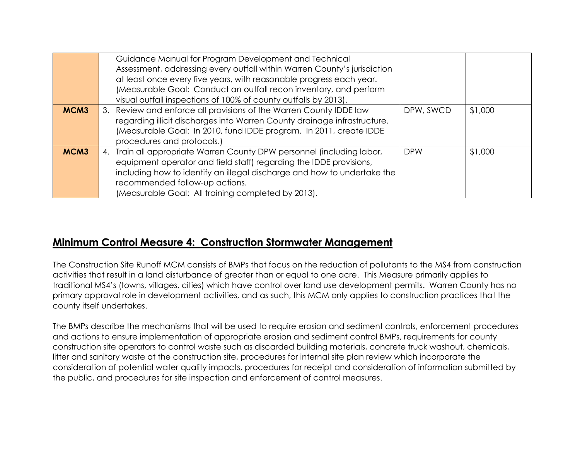|      | Guidance Manual for Program Development and Technical<br>Assessment, addressing every outfall within Warren County's jurisdiction<br>at least once every five years, with reasonable progress each year.<br>(Measurable Goal: Conduct an outfall recon inventory, and perform<br>visual outfall inspections of 100% of county outfalls by 2013). |            |         |
|------|--------------------------------------------------------------------------------------------------------------------------------------------------------------------------------------------------------------------------------------------------------------------------------------------------------------------------------------------------|------------|---------|
| MCM3 | 3. Review and enforce all provisions of the Warren County IDDE law<br>regarding illicit discharges into Warren County drainage infrastructure.<br>(Measurable Goal: In 2010, fund IDDE program. In 2011, create IDDE<br>procedures and protocols.)                                                                                               | DPW, SWCD  | \$1,000 |
| MCM3 | 4. Train all appropriate Warren County DPW personnel (including labor,<br>equipment operator and field staff) regarding the IDDE provisions,<br>including how to identify an illegal discharge and how to undertake the<br>recommended follow-up actions.<br>(Measurable Goal: All training completed by 2013).                                  | <b>DPW</b> | \$1,000 |

### **Minimum Control Measure 4: Construction Stormwater Management**

The Construction Site Runoff MCM consists of BMPs that focus on the reduction of pollutants to the MS4 from construction activities that result in a land disturbance of greater than or equal to one acre. This Measure primarily applies to traditional MS4's (towns, villages, cities) which have control over land use development permits. Warren County has no primary approval role in development activities, and as such, this MCM only applies to construction practices that the county itself undertakes.

The BMPs describe the mechanisms that will be used to require erosion and sediment controls, enforcement procedures and actions to ensure implementation of appropriate erosion and sediment control BMPs, requirements for county construction site operators to control waste such as discarded building materials, concrete truck washout, chemicals, litter and sanitary waste at the construction site, procedures for internal site plan review which incorporate the consideration of potential water quality impacts, procedures for receipt and consideration of information submitted by the public, and procedures for site inspection and enforcement of control measures.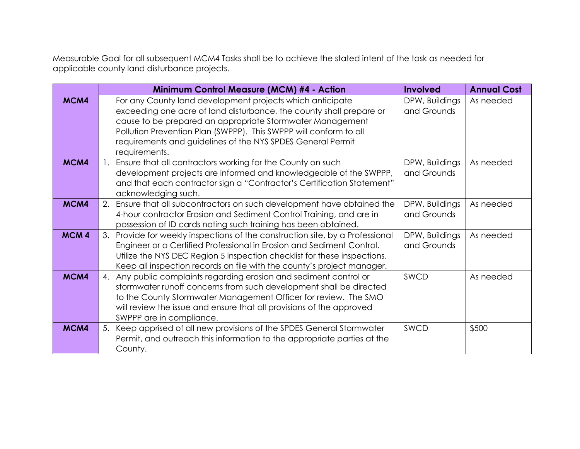Measurable Goal for all subsequent MCM4 Tasks shall be to achieve the stated intent of the task as needed for applicable county land disturbance projects.

|                  | Minimum Control Measure (MCM) #4 - Action                                                                                                                                                                                                                                                                                                          | <b>Involved</b>               | <b>Annual Cost</b> |
|------------------|----------------------------------------------------------------------------------------------------------------------------------------------------------------------------------------------------------------------------------------------------------------------------------------------------------------------------------------------------|-------------------------------|--------------------|
| MCM4             | For any County land development projects which anticipate<br>exceeding one acre of land disturbance, the county shall prepare or<br>cause to be prepared an appropriate Stormwater Management<br>Pollution Prevention Plan (SWPPP). This SWPPP will conform to all<br>requirements and guidelines of the NYS SPDES General Permit<br>requirements. | DPW, Buildings<br>and Grounds | As needed          |
| MCM4             | Ensure that all contractors working for the County on such<br>development projects are informed and knowledgeable of the SWPPP,<br>and that each contractor sign a "Contractor's Certification Statement"<br>acknowledging such.                                                                                                                   | DPW, Buildings<br>and Grounds | As needed          |
| MCM4             | Ensure that all subcontractors on such development have obtained the<br>2.<br>4-hour contractor Erosion and Sediment Control Training, and are in<br>possession of ID cards noting such training has been obtained.                                                                                                                                | DPW, Buildings<br>and Grounds | As needed          |
| MCM <sub>4</sub> | Provide for weekly inspections of the construction site, by a Professional<br>3.<br>Engineer or a Certified Professional in Erosion and Sediment Control.<br>Utilize the NYS DEC Region 5 inspection checklist for these inspections.<br>Keep all inspection records on file with the county's project manager.                                    | DPW, Buildings<br>and Grounds | As needed          |
| MCM4             | 4. Any public complaints regarding erosion and sediment control or<br>stormwater runoff concerns from such development shall be directed<br>to the County Stormwater Management Officer for review. The SMO<br>will review the issue and ensure that all provisions of the approved<br>SWPPP are in compliance.                                    | SWCD                          | As needed          |
| MCM4             | 5. Keep apprised of all new provisions of the SPDES General Stormwater<br>Permit, and outreach this information to the appropriate parties at the<br>County.                                                                                                                                                                                       | SWCD                          | \$500              |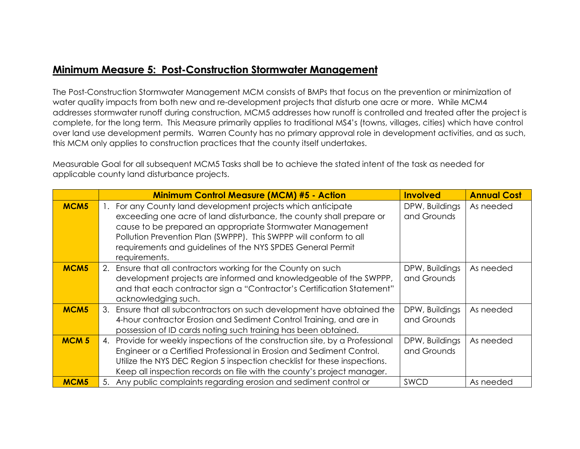#### **Minimum Measure 5: Post-Construction Stormwater Management**

The Post-Construction Stormwater Management MCM consists of BMPs that focus on the prevention or minimization of water quality impacts from both new and re-development projects that disturb one acre or more. While MCM4 addresses stormwater runoff during construction, MCM5 addresses how runoff is controlled and treated after the project is complete, for the long term. This Measure primarily applies to traditional MS4's (towns, villages, cities) which have control over land use development permits. Warren County has no primary approval role in development activities, and as such, this MCM only applies to construction practices that the county itself undertakes.

Measurable Goal for all subsequent MCM5 Tasks shall be to achieve the stated intent of the task as needed for applicable county land disturbance projects.

|                  | <b>Minimum Control Measure (MCM) #5 - Action</b>                                                                                                                                                                                                                                                                                                      | <b>Involved</b>               | <b>Annual Cost</b> |
|------------------|-------------------------------------------------------------------------------------------------------------------------------------------------------------------------------------------------------------------------------------------------------------------------------------------------------------------------------------------------------|-------------------------------|--------------------|
| MCM <sub>5</sub> | 1. For any County land development projects which anticipate<br>exceeding one acre of land disturbance, the county shall prepare or<br>cause to be prepared an appropriate Stormwater Management<br>Pollution Prevention Plan (SWPPP). This SWPPP will conform to all<br>requirements and guidelines of the NYS SPDES General Permit<br>requirements. | DPW, Buildings<br>and Grounds | As needed          |
| MCM <sub>5</sub> | 2. Ensure that all contractors working for the County on such<br>development projects are informed and knowledgeable of the SWPPP,<br>and that each contractor sign a "Contractor's Certification Statement"<br>acknowledging such.                                                                                                                   | DPW, Buildings<br>and Grounds | As needed          |
| MCM <sub>5</sub> | 3. Ensure that all subcontractors on such development have obtained the<br>4-hour contractor Erosion and Sediment Control Training, and are in<br>possession of ID cards noting such training has been obtained.                                                                                                                                      | DPW, Buildings<br>and Grounds | As needed          |
| <b>MCM5</b>      | 4. Provide for weekly inspections of the construction site, by a Professional<br>Engineer or a Certified Professional in Erosion and Sediment Control.<br>Utilize the NYS DEC Region 5 inspection checklist for these inspections.<br>Keep all inspection records on file with the county's project manager.                                          | DPW, Buildings<br>and Grounds | As needed          |
| MCM <sub>5</sub> | Any public complaints regarding erosion and sediment control or<br>5.                                                                                                                                                                                                                                                                                 | <b>SWCD</b>                   | As needed          |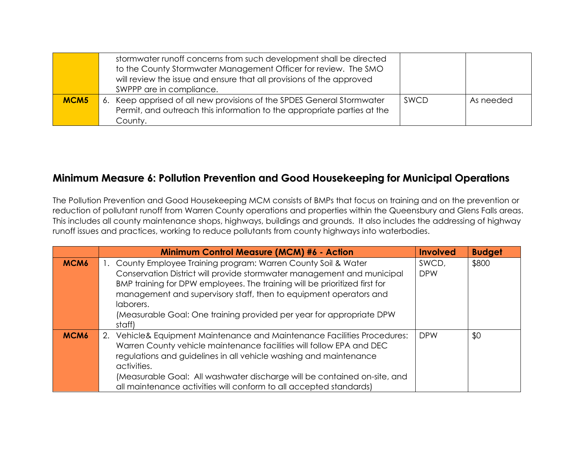|                  | stormwater runoff concerns from such development shall be directed<br>to the County Stormwater Management Officer for review. The SMO<br>will review the issue and ensure that all provisions of the approved<br>SWPPP are in compliance. |      |           |
|------------------|-------------------------------------------------------------------------------------------------------------------------------------------------------------------------------------------------------------------------------------------|------|-----------|
| MCM <sub>5</sub> | 6. Keep apprised of all new provisions of the SPDES General Stormwater<br>Permit, and outreach this information to the appropriate parties at the<br>County.                                                                              | SWCD | As needed |

### **Minimum Measure 6: Pollution Prevention and Good Housekeeping for Municipal Operations**

The Pollution Prevention and Good Housekeeping MCM consists of BMPs that focus on training and on the prevention or reduction of pollutant runoff from Warren County operations and properties within the Queensbury and Glens Falls areas. This includes all county maintenance shops, highways, buildings and grounds. It also includes the addressing of highway runoff issues and practices, working to reduce pollutants from county highways into waterbodies.

|                  | <b>Minimum Control Measure (MCM) #6 - Action</b>                                                                                                                                                                                                                                                                                                                                            | <b>Involved</b>     | <b>Budget</b> |
|------------------|---------------------------------------------------------------------------------------------------------------------------------------------------------------------------------------------------------------------------------------------------------------------------------------------------------------------------------------------------------------------------------------------|---------------------|---------------|
| MCM6             | 1. County Employee Training program: Warren County Soil & Water<br>Conservation District will provide stormwater management and municipal<br>BMP training for DPW employees. The training will be prioritized first for<br>management and supervisory staff, then to equipment operators and<br>laborers.<br>(Measurable Goal: One training provided per year for appropriate DPW<br>staff) | SWCD,<br><b>DPW</b> | \$800         |
| MCM <sub>6</sub> | Vehicle& Equipment Maintenance and Maintenance Facilities Procedures:<br>2.<br>Warren County vehicle maintenance facilities will follow EPA and DEC<br>regulations and guidelines in all vehicle washing and maintenance<br>activities.<br>(Measurable Goal: All washwater discharge will be contained on-site, and<br>all maintenance activities will conform to all accepted standards)   | <b>DPW</b>          | \$0           |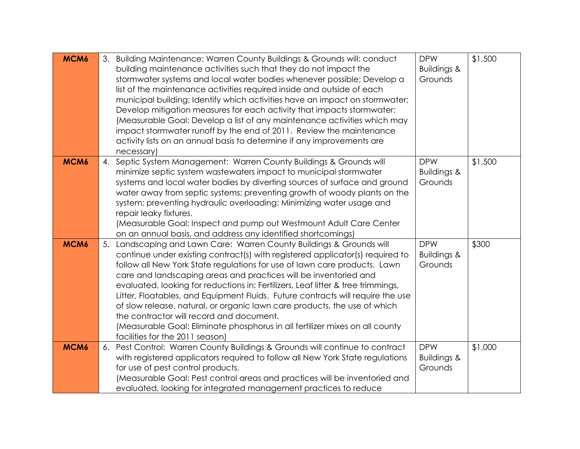| MCM6 | 3. Building Maintenance: Warren County Buildings & Grounds will: conduct<br>building maintenance activities such that they do not impact the<br>stormwater systems and local water bodies whenever possible; Develop a<br>list of the maintenance activities required inside and outside of each<br>municipal building; Identify which activities have an impact on stormwater;<br>Develop mitigation measures for each activity that impacts stormwater;<br>(Measurable Goal: Develop a list of any maintenance activities which may<br>impact stormwater runoff by the end of 2011. Review the maintenance<br>activity lists on an annual basis to determine if any improvements are<br>necessary)                      | <b>DPW</b><br><b>Buildings &amp;</b><br>Grounds | \$1,500 |
|------|---------------------------------------------------------------------------------------------------------------------------------------------------------------------------------------------------------------------------------------------------------------------------------------------------------------------------------------------------------------------------------------------------------------------------------------------------------------------------------------------------------------------------------------------------------------------------------------------------------------------------------------------------------------------------------------------------------------------------|-------------------------------------------------|---------|
| MCM6 | 4. Septic System Management: Warren County Buildings & Grounds will<br>minimize septic system wastewaters impact to municipal stormwater<br>systems and local water bodies by diverting sources of surface and ground<br>water away from septic systems; preventing growth of woody plants on the<br>system; preventing hydraulic overloading; Minimizing water usage and<br>repair leaky fixtures.<br>(Measurable Goal: Inspect and pump out Westmount Adult Care Center<br>on an annual basis, and address any identified shortcomings)                                                                                                                                                                                 | <b>DPW</b><br><b>Buildings &amp;</b><br>Grounds | \$1,500 |
| MCM6 | 5. Landscaping and Lawn Care: Warren County Buildings & Grounds will<br>continue under existing contract(s) with registered applicator(s) required to<br>follow all New York State regulations for use of lawn care products. Lawn<br>care and landscaping areas and practices will be inventoried and<br>evaluated, looking for reductions in: Fertilizers, Leaf litter & tree trimmings,<br>Litter, Floatables, and Equipment Fluids. Future contracts will require the use<br>of slow release, natural, or organic lawn care products, the use of which<br>the contractor will record and document.<br>(Measurable Goal: Eliminate phosphorus in all fertilizer mixes on all county<br>facilities for the 2011 season) | <b>DPW</b><br><b>Buildings &amp;</b><br>Grounds | \$300   |
| MCM6 | 6. Pest Control: Warren County Buildings & Grounds will continue to contract<br>with registered applicators required to follow all New York State regulations<br>for use of pest control products.<br>(Measurable Goal: Pest control areas and practices will be inventoried and<br>evaluated, looking for integrated management practices to reduce                                                                                                                                                                                                                                                                                                                                                                      | <b>DPW</b><br><b>Buildings &amp;</b><br>Grounds | \$1,000 |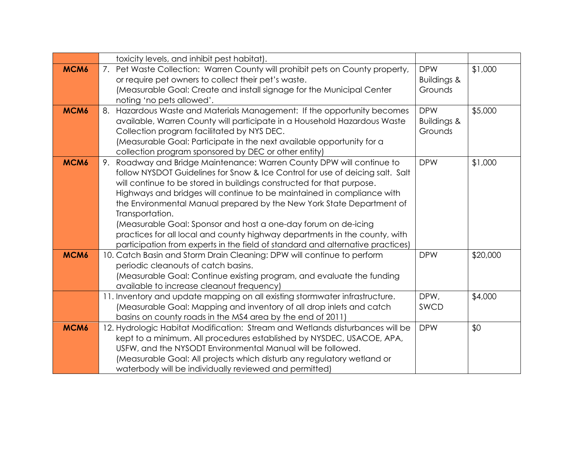|                  | toxicity levels, and inhibit pest habitat).                                    |                        |          |
|------------------|--------------------------------------------------------------------------------|------------------------|----------|
| MCM6             | 7. Pet Waste Collection: Warren County will prohibit pets on County property,  | <b>DPW</b>             | \$1,000  |
|                  | or require pet owners to collect their pet's waste.                            | <b>Buildings &amp;</b> |          |
|                  | (Measurable Goal: Create and install signage for the Municipal Center          | Grounds                |          |
|                  | noting 'no pets allowed'.                                                      |                        |          |
| MCM <sub>6</sub> | 8. Hazardous Waste and Materials Management: If the opportunity becomes        | <b>DPW</b>             | \$5,000  |
|                  | available, Warren County will participate in a Household Hazardous Waste       | <b>Buildings &amp;</b> |          |
|                  | Collection program facilitated by NYS DEC.                                     | Grounds                |          |
|                  | (Measurable Goal: Participate in the next available opportunity for a          |                        |          |
|                  | collection program sponsored by DEC or other entity)                           |                        |          |
| MCM <sub>6</sub> | 9. Roadway and Bridge Maintenance: Warren County DPW will continue to          | <b>DPW</b>             | \$1,000  |
|                  | follow NYSDOT Guidelines for Snow & Ice Control for use of deicing salt. Salt  |                        |          |
|                  | will continue to be stored in buildings constructed for that purpose.          |                        |          |
|                  | Highways and bridges will continue to be maintained in compliance with         |                        |          |
|                  | the Environmental Manual prepared by the New York State Department of          |                        |          |
|                  | Transportation.                                                                |                        |          |
|                  | (Measurable Goal: Sponsor and host a one-day forum on de-icing                 |                        |          |
|                  | practices for all local and county highway departments in the county, with     |                        |          |
|                  | participation from experts in the field of standard and alternative practices) |                        |          |
| MCM6             | 10. Catch Basin and Storm Drain Cleaning: DPW will continue to perform         | <b>DPW</b>             | \$20,000 |
|                  | periodic cleanouts of catch basins.                                            |                        |          |
|                  | (Measurable Goal: Continue existing program, and evaluate the funding          |                        |          |
|                  | available to increase cleanout frequency)                                      |                        |          |
|                  | 11. Inventory and update mapping on all existing stormwater infrastructure.    | DPW,                   | \$4,000  |
|                  | (Measurable Goal: Mapping and inventory of all drop inlets and catch           | SWCD                   |          |
|                  | basins on county roads in the MS4 area by the end of 2011)                     |                        |          |
| MCM6             | 12. Hydrologic Habitat Modification: Stream and Wetlands disturbances will be  | <b>DPW</b>             | \$0      |
|                  | kept to a minimum. All procedures established by NYSDEC, USACOE, APA,          |                        |          |
|                  | USFW, and the NYSODT Environmental Manual will be followed.                    |                        |          |
|                  | (Measurable Goal: All projects which disturb any regulatory wetland or         |                        |          |
|                  | waterbody will be individually reviewed and permitted)                         |                        |          |